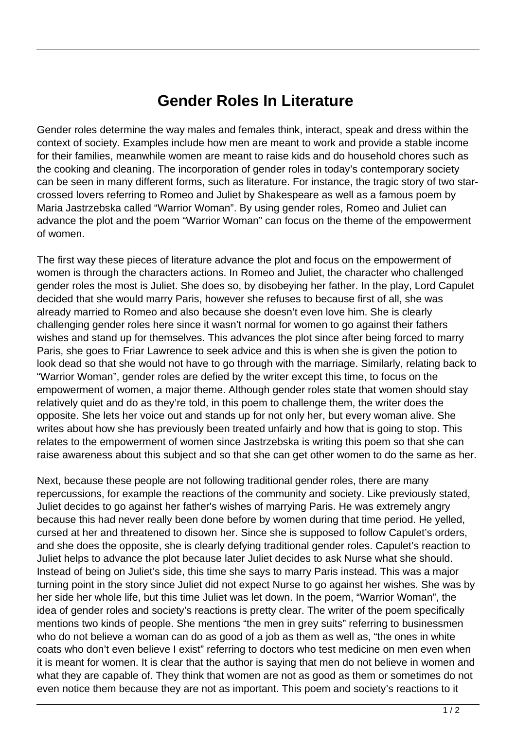## **Gender Roles In Literature**

Gender roles determine the way males and females think, interact, speak and dress within the context of society. Examples include how men are meant to work and provide a stable income for their families, meanwhile women are meant to raise kids and do household chores such as the cooking and cleaning. The incorporation of gender roles in today's contemporary society can be seen in many different forms, such as literature. For instance, the tragic story of two starcrossed lovers referring to Romeo and Juliet by Shakespeare as well as a famous poem by Maria Jastrzebska called "Warrior Woman". By using gender roles, Romeo and Juliet can advance the plot and the poem "Warrior Woman" can focus on the theme of the empowerment of women.

The first way these pieces of literature advance the plot and focus on the empowerment of women is through the characters actions. In Romeo and Juliet, the character who challenged gender roles the most is Juliet. She does so, by disobeying her father. In the play, Lord Capulet decided that she would marry Paris, however she refuses to because first of all, she was already married to Romeo and also because she doesn't even love him. She is clearly challenging gender roles here since it wasn't normal for women to go against their fathers wishes and stand up for themselves. This advances the plot since after being forced to marry Paris, she goes to Friar Lawrence to seek advice and this is when she is given the potion to look dead so that she would not have to go through with the marriage. Similarly, relating back to "Warrior Woman", gender roles are defied by the writer except this time, to focus on the empowerment of women, a major theme. Although gender roles state that women should stay relatively quiet and do as they're told, in this poem to challenge them, the writer does the opposite. She lets her voice out and stands up for not only her, but every woman alive. She writes about how she has previously been treated unfairly and how that is going to stop. This relates to the empowerment of women since Jastrzebska is writing this poem so that she can raise awareness about this subject and so that she can get other women to do the same as her.

Next, because these people are not following traditional gender roles, there are many repercussions, for example the reactions of the community and society. Like previously stated, Juliet decides to go against her father's wishes of marrying Paris. He was extremely angry because this had never really been done before by women during that time period. He yelled, cursed at her and threatened to disown her. Since she is supposed to follow Capulet's orders, and she does the opposite, she is clearly defying traditional gender roles. Capulet's reaction to Juliet helps to advance the plot because later Juliet decides to ask Nurse what she should. Instead of being on Juliet's side, this time she says to marry Paris instead. This was a major turning point in the story since Juliet did not expect Nurse to go against her wishes. She was by her side her whole life, but this time Juliet was let down. In the poem, "Warrior Woman", the idea of gender roles and society's reactions is pretty clear. The writer of the poem specifically mentions two kinds of people. She mentions "the men in grey suits" referring to businessmen who do not believe a woman can do as good of a job as them as well as, "the ones in white coats who don't even believe I exist" referring to doctors who test medicine on men even when it is meant for women. It is clear that the author is saying that men do not believe in women and what they are capable of. They think that women are not as good as them or sometimes do not even notice them because they are not as important. This poem and society's reactions to it